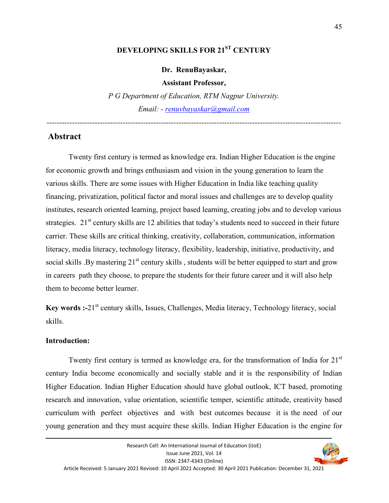# **DEVELOPING SKILLS FOR 21ST CENTURY**

**Dr. RenuBayaskar,** 

**Assistant Professor,** 

*P G Department of Education, RTM Nagpur University. Email: - renuvbayaskar@gmail.com*

*--------------------------------------------------------------------------------------------------------------------* 

#### **Abstract**

Twenty first century is termed as knowledge era. Indian Higher Education is the engine for economic growth and brings enthusiasm and vision in the young generation to learn the various skills. There are some issues with Higher Education in India like teaching quality financing, privatization, political factor and moral issues and challenges are to develop quality institutes, research oriented learning, project based learning, creating jobs and to develop various strategies.  $21<sup>st</sup>$  century skills are 12 abilities that today's students need to succeed in their future carrier. These skills are critical thinking, creativity, collaboration, communication, information literacy, media literacy, technology literacy, flexibility, leadership, initiative, productivity, and social skills . By mastering  $21<sup>st</sup>$  century skills, students will be better equipped to start and grow in careers path they choose, to prepare the students for their future career and it will also help them to become better learner.

Key words :-21<sup>st</sup> century skills, Issues, Challenges, Media literacy, Technology literacy, social skills.

#### **Introduction:**

Twenty first century is termed as knowledge era, for the transformation of India for 21<sup>st</sup> century India become economically and socially stable and it is the responsibility of Indian Higher Education. Indian Higher Education should have global outlook, ICT based, promoting research and innovation, value orientation, scientific temper, scientific attitude, creativity based curriculum with perfect objectives and with best outcomes because it is the need of our young generation and they must acquire these skills. Indian Higher Education is the engine for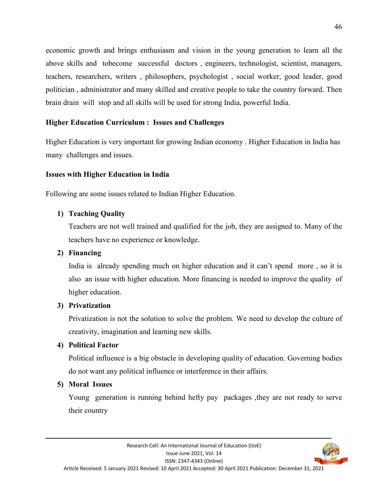economic growth and brings enthusiasm and vision in the young generation to learn all the above skills and tobecome successful doctors , engineers, technologist, scientist, managers, teachers, researchers, writers , philosophers, psychologist , social worker, good leader, good politician , administrator and many skilled and creative people to take the country forward. Then brain drain will stop and all skills will be used for strong India, powerful India.

## **Higher Education Curriculum : Issues and Challenges**

Higher Education is very important for growing Indian economy . Higher Education in India has many challenges and issues.

### **Issues with Higher Education in India**

Following are some issues related to Indian Higher Education.

### **1) Teaching Quality**

Teachers are not well trained and qualified for the job, they are assigned to. Many of the teachers have no experience or knowledge.

### **2) Financing**

India is already spending much on higher education and it can't spend more , so it is also an issue with higher education. More financing is needed to improve the quality of higher education.

### **3) Privatization**

Privatization is not the solution to solve the problem. We need to develop the culture of creativity, imagination and learning new skills.

### **4) Political Factor**

Political influence is a big obstacle in developing quality of education. Governing bodies do not want any political influence or interference in their affairs.

### **5) Moral Issues**

Young generation is running behind hefty pay packages ,they are not ready to serve their country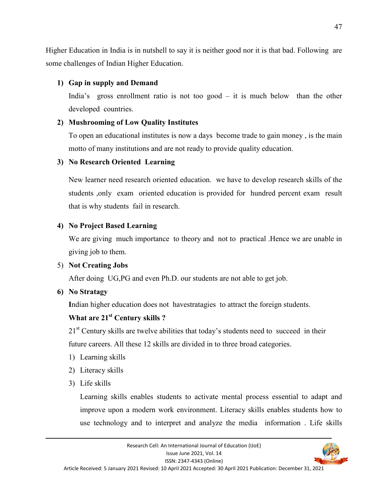Higher Education in India is in nutshell to say it is neither good nor it is that bad. Following are some challenges of Indian Higher Education.

## **1) Gap in supply and Demand**

India's gross enrollment ratio is not too good – it is much below than the other developed countries.

## **2) Mushrooming of Low Quality Institutes**

To open an educational institutes is now a days become trade to gain money , is the main motto of many institutions and are not ready to provide quality education.

## **3) No Research Oriented Learning**

New learner need research oriented education. we have to develop research skills of the students ,only exam oriented education is provided for hundred percent exam result that is why students fail in research.

# **4) No Project Based Learning**

We are giving much importance to theory and not to practical .Hence we are unable in giving job to them.

# 5) **Not Creating Jobs**

After doing UG,PG and even Ph.D. our students are not able to get job.

# **6) No Stratagy**

**I**ndian higher education does not havestratagies to attract the foreign students.

# **What are 21st Century skills ?**

 $21<sup>st</sup>$  Century skills are twelve abilities that today's students need to succeed in their future careers. All these 12 skills are divided in to three broad categories.

- 1) Learning skills
- 2) Literacy skills
- 3) Life skills

Learning skills enables students to activate mental process essential to adapt and improve upon a modern work environment. Literacy skills enables students how to use technology and to interpret and analyze the media information . Life skills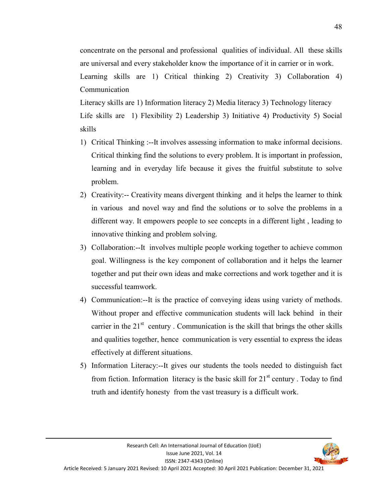48

concentrate on the personal and professional qualities of individual. All these skills are universal and every stakeholder know the importance of it in carrier or in work.

Learning skills are 1) Critical thinking 2) Creativity 3) Collaboration 4) Communication

Literacy skills are 1) Information literacy 2) Media literacy 3) Technology literacy Life skills are 1) Flexibility 2) Leadership 3) Initiative 4) Productivity 5) Social skills

- 1) Critical Thinking :--It involves assessing information to make informal decisions. Critical thinking find the solutions to every problem. It is important in profession, learning and in everyday life because it gives the fruitful substitute to solve problem.
- 2) Creativity:-- Creativity means divergent thinking and it helps the learner to think in various and novel way and find the solutions or to solve the problems in a different way. It empowers people to see concepts in a different light , leading to innovative thinking and problem solving.
- 3) Collaboration:--It involves multiple people working together to achieve common goal. Willingness is the key component of collaboration and it helps the learner together and put their own ideas and make corrections and work together and it is successful teamwork.
- 4) Communication:--It is the practice of conveying ideas using variety of methods. Without proper and effective communication students will lack behind in their carrier in the  $21<sup>st</sup>$  century . Communication is the skill that brings the other skills and qualities together, hence communication is very essential to express the ideas effectively at different situations.
- 5) Information Literacy:--It gives our students the tools needed to distinguish fact from fiction. Information literacy is the basic skill for  $21<sup>st</sup>$  century. Today to find truth and identify honesty from the vast treasury is a difficult work.

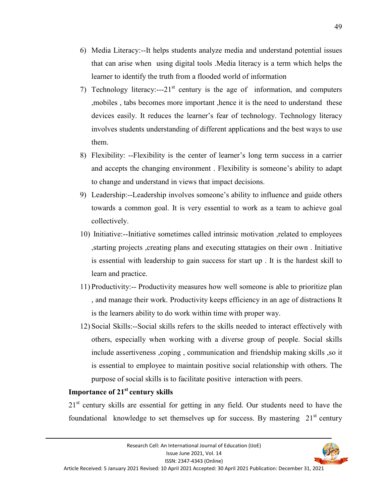- 6) Media Literacy:--It helps students analyze media and understand potential issues that can arise when using digital tools .Media literacy is a term which helps the learner to identify the truth from a flooded world of information
- 7) Technology literacy:---21<sup>st</sup> century is the age of information, and computers ,mobiles , tabs becomes more important ,hence it is the need to understand these devices easily. It reduces the learner's fear of technology. Technology literacy involves students understanding of different applications and the best ways to use them.
- 8) Flexibility: --Flexibility is the center of learner's long term success in a carrier and accepts the changing environment . Flexibility is someone's ability to adapt to change and understand in views that impact decisions.
- 9) Leadership:--Leadership involves someone's ability to influence and guide others towards a common goal. It is very essential to work as a team to achieve goal collectively.
- 10) Initiative:--Initiative sometimes called intrinsic motivation ,related to employees ,starting projects ,creating plans and executing sttatagies on their own . Initiative is essential with leadership to gain success for start up . It is the hardest skill to learn and practice.
- 11) Productivity:-- Productivity measures how well someone is able to prioritize plan , and manage their work. Productivity keeps efficiency in an age of distractions It is the learners ability to do work within time with proper way.
- 12) Social Skills:--Social skills refers to the skills needed to interact effectively with others, especially when working with a diverse group of people. Social skills include assertiveness ,coping , communication and friendship making skills ,so it is essential to employee to maintain positive social relationship with others. The purpose of social skills is to facilitate positive interaction with peers.

### **Importance of 21st century skills**

21<sup>st</sup> century skills are essential for getting in any field. Our students need to have the foundational knowledge to set themselves up for success. By mastering  $21<sup>st</sup>$  century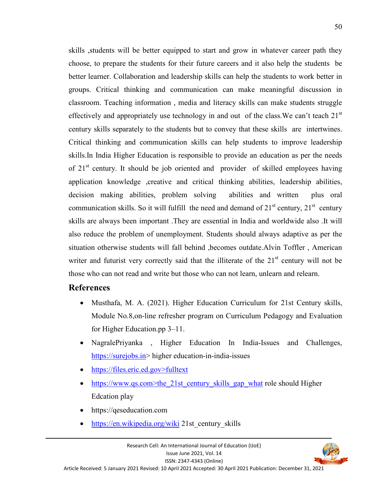skills ,students will be better equipped to start and grow in whatever career path they choose, to prepare the students for their future careers and it also help the students be better learner. Collaboration and leadership skills can help the students to work better in groups. Critical thinking and communication can make meaningful discussion in classroom. Teaching information , media and literacy skills can make students struggle effectively and appropriately use technology in and out of the class. We can't teach  $21<sup>st</sup>$ century skills separately to the students but to convey that these skills are intertwines. Critical thinking and communication skills can help students to improve leadership skills.In India Higher Education is responsible to provide an education as per the needs of  $21<sup>st</sup>$  century. It should be job oriented and provider of skilled employees having application knowledge ,creative and critical thinking abilities, leadership abilities, decision making abilities, problem solving abilities and written plus oral communication skills. So it will fulfill the need and demand of  $21<sup>st</sup>$  century,  $21<sup>st</sup>$  century skills are always been important .They are essential in India and worldwide also .It will also reduce the problem of unemployment. Students should always adaptive as per the situation otherwise students will fall behind ,becomes outdate.Alvin Toffler , American writer and futurist very correctly said that the illiterate of the  $21<sup>st</sup>$  century will not be those who can not read and write but those who can not learn, unlearn and relearn.

## **References**

- Musthafa, M. A. (2021). Higher Education Curriculum for 21st Century skills, Module No.8,on-line refresher program on Curriculum Pedagogy and Evaluation for Higher Education.pp 3–11.
- NagralePriyanka , Higher Education In India-Issues and Challenges, https://surejobs.in> higher education-in-india-issues
- https://files.eric.ed.gov>fulltext
- https://www.qs.com>the\_21st\_century\_skills\_gap\_what role should Higher Edcation play
- https://qeseducation.com
- https://en.wikipedia.org/wiki 21st century skills